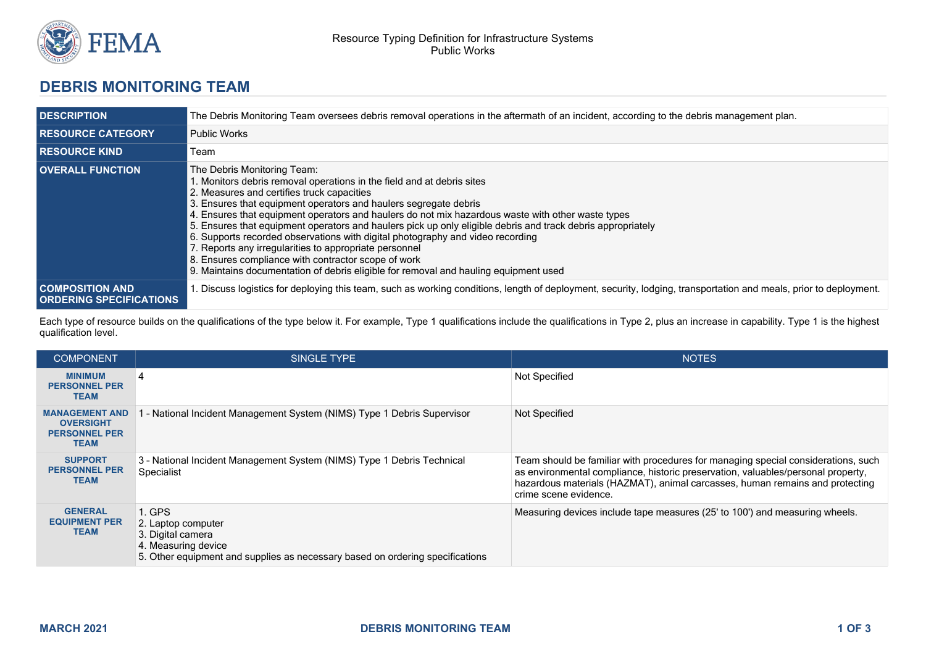

## **DEBRIS MONITORING TEAM**

| <b>DESCRIPTION</b>                                       | The Debris Monitoring Team oversees debris removal operations in the aftermath of an incident, according to the debris management plan.                                                                                                                                                                                                                                                                                                                                                                                                                                                                                                                                                                                               |  |
|----------------------------------------------------------|---------------------------------------------------------------------------------------------------------------------------------------------------------------------------------------------------------------------------------------------------------------------------------------------------------------------------------------------------------------------------------------------------------------------------------------------------------------------------------------------------------------------------------------------------------------------------------------------------------------------------------------------------------------------------------------------------------------------------------------|--|
| <b>RESOURCE CATEGORY</b>                                 | <b>Public Works</b>                                                                                                                                                                                                                                                                                                                                                                                                                                                                                                                                                                                                                                                                                                                   |  |
| <b>RESOURCE KIND</b>                                     | Team                                                                                                                                                                                                                                                                                                                                                                                                                                                                                                                                                                                                                                                                                                                                  |  |
| <b>OVERALL FUNCTION</b>                                  | The Debris Monitoring Team:<br>. Monitors debris removal operations in the field and at debris sites<br>2. Measures and certifies truck capacities<br>3. Ensures that equipment operators and haulers segregate debris<br>4. Ensures that equipment operators and haulers do not mix hazardous waste with other waste types<br>5. Ensures that equipment operators and haulers pick up only eligible debris and track debris appropriately<br>6. Supports recorded observations with digital photography and video recording<br>7. Reports any irregularities to appropriate personnel<br>8. Ensures compliance with contractor scope of work<br>9. Maintains documentation of debris eligible for removal and hauling equipment used |  |
| <b>COMPOSITION AND</b><br><b>ORDERING SPECIFICATIONS</b> | Discuss logistics for deploying this team, such as working conditions, length of deployment, security, lodging, transportation and meals, prior to deployment.                                                                                                                                                                                                                                                                                                                                                                                                                                                                                                                                                                        |  |

Each type of resource builds on the qualifications of the type below it. For example, Type 1 qualifications include the qualifications in Type 2, plus an increase in capability. Type 1 is the highest qualification level.

| <b>COMPONENT</b>                                                                 | SINGLE TYPE                                                                                                                                               | <b>NOTES</b>                                                                                                                                                                                                                                                                   |
|----------------------------------------------------------------------------------|-----------------------------------------------------------------------------------------------------------------------------------------------------------|--------------------------------------------------------------------------------------------------------------------------------------------------------------------------------------------------------------------------------------------------------------------------------|
| <b>MINIMUM</b><br><b>PERSONNEL PER</b><br><b>TEAM</b>                            |                                                                                                                                                           | Not Specified                                                                                                                                                                                                                                                                  |
| <b>MANAGEMENT AND</b><br><b>OVERSIGHT</b><br><b>PERSONNEL PER</b><br><b>TEAM</b> | 1 - National Incident Management System (NIMS) Type 1 Debris Supervisor                                                                                   | Not Specified                                                                                                                                                                                                                                                                  |
| <b>SUPPORT</b><br><b>PERSONNEL PER</b><br><b>TEAM</b>                            | 3 - National Incident Management System (NIMS) Type 1 Debris Technical<br>Specialist                                                                      | Team should be familiar with procedures for managing special considerations, such<br>as environmental compliance, historic preservation, valuables/personal property,<br>hazardous materials (HAZMAT), animal carcasses, human remains and protecting<br>crime scene evidence. |
| <b>GENERAL</b><br><b>EQUIPMENT PER</b><br><b>TEAM</b>                            | 1. GPS<br>2. Laptop computer<br>3. Digital camera<br>4. Measuring device<br>5. Other equipment and supplies as necessary based on ordering specifications | Measuring devices include tape measures (25' to 100') and measuring wheels.                                                                                                                                                                                                    |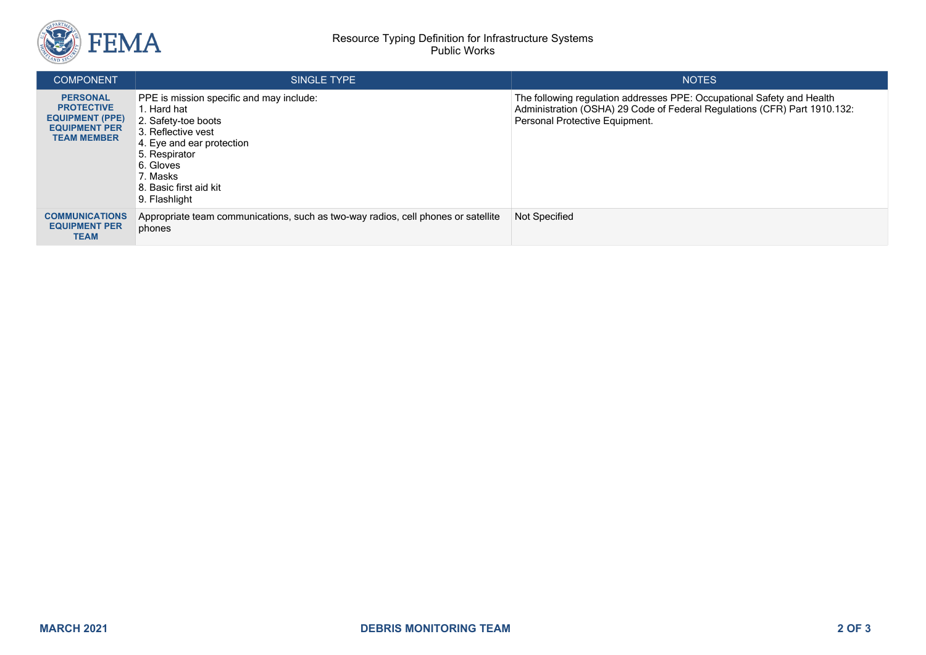

| <b>COMPONENT</b>                                                                                             | SINGLE TYPE                                                                                                                                                                                                            | <b>NOTES</b>                                                                                                                                                                          |
|--------------------------------------------------------------------------------------------------------------|------------------------------------------------------------------------------------------------------------------------------------------------------------------------------------------------------------------------|---------------------------------------------------------------------------------------------------------------------------------------------------------------------------------------|
| <b>PERSONAL</b><br><b>PROTECTIVE</b><br><b>EQUIPMENT (PPE)</b><br><b>EQUIPMENT PER</b><br><b>TEAM MEMBER</b> | PPE is mission specific and may include:<br>1. Hard hat<br>2. Safety-toe boots<br>3. Reflective vest<br>4. Eye and ear protection<br>5. Respirator<br>6. Gloves<br>7. Masks<br>8. Basic first aid kit<br>9. Flashlight | The following regulation addresses PPE: Occupational Safety and Health<br>Administration (OSHA) 29 Code of Federal Regulations (CFR) Part 1910.132:<br>Personal Protective Equipment. |
| <b>COMMUNICATIONS</b><br><b>EQUIPMENT PER</b><br><b>TEAM</b>                                                 | Appropriate team communications, such as two-way radios, cell phones or satellite<br>phones                                                                                                                            | Not Specified                                                                                                                                                                         |